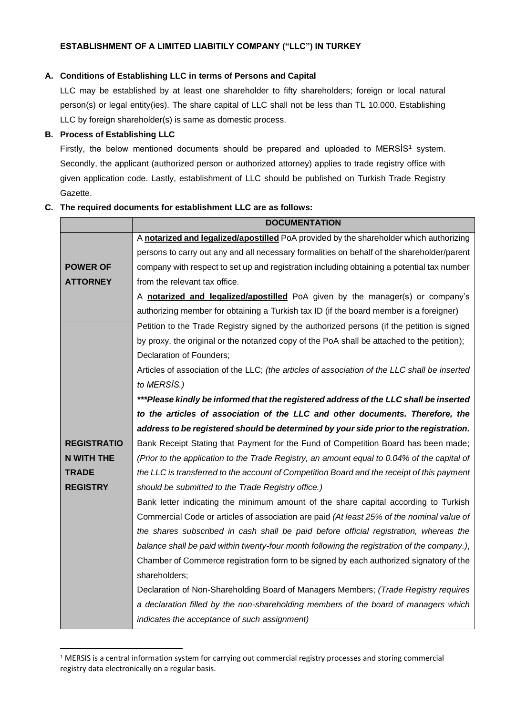## **A. Conditions of Establishing LLC in terms of Persons and Capital**

LLC may be established by at least one shareholder to fifty shareholders; foreign or local natural person(s) or legal entity(ies). The share capital of LLC shall not be less than TL 10.000. Establishing LLC by foreign shareholder(s) is same as domestic process.

## **B. Process of Establishing LLC**

Firstly, the below mentioned documents should be prepared and uploaded to MERSIS<sup>1</sup> system. Secondly, the applicant (authorized person or authorized attorney) applies to trade registry office with given application code. Lastly, establishment of LLC should be published on Turkish Trade Registry Gazette.

## **C. The required documents for establishment LLC are as follows:**

|                    | <b>DOCUMENTATION</b>                                                                          |
|--------------------|-----------------------------------------------------------------------------------------------|
|                    | A notarized and legalized/apostilled PoA provided by the shareholder which authorizing        |
|                    | persons to carry out any and all necessary formalities on behalf of the shareholder/parent    |
| <b>POWER OF</b>    | company with respect to set up and registration including obtaining a potential tax number    |
| <b>ATTORNEY</b>    | from the relevant tax office.                                                                 |
|                    | A notarized and legalized/apostilled PoA given by the manager(s) or company's                 |
|                    | authorizing member for obtaining a Turkish tax ID (if the board member is a foreigner)        |
|                    | Petition to the Trade Registry signed by the authorized persons (if the petition is signed    |
|                    | by proxy, the original or the notarized copy of the PoA shall be attached to the petition);   |
|                    | Declaration of Founders;                                                                      |
|                    | Articles of association of the LLC; (the articles of association of the LLC shall be inserted |
|                    | to MERSIS.)                                                                                   |
|                    | ***Please kindly be informed that the registered address of the LLC shall be inserted         |
|                    | to the articles of association of the LLC and other documents. Therefore, the                 |
|                    | address to be registered should be determined by your side prior to the registration.         |
| <b>REGISTRATIO</b> | Bank Receipt Stating that Payment for the Fund of Competition Board has been made;            |
| <b>N WITH THE</b>  | (Prior to the application to the Trade Registry, an amount equal to 0.04% of the capital of   |
| <b>TRADE</b>       | the LLC is transferred to the account of Competition Board and the receipt of this payment    |
| <b>REGISTRY</b>    | should be submitted to the Trade Registry office.)                                            |
|                    | Bank letter indicating the minimum amount of the share capital according to Turkish           |
|                    | Commercial Code or articles of association are paid (At least 25% of the nominal value of     |
|                    | the shares subscribed in cash shall be paid before official registration, whereas the         |
|                    | balance shall be paid within twenty-four month following the registration of the company.),   |
|                    | Chamber of Commerce registration form to be signed by each authorized signatory of the        |
|                    | shareholders;                                                                                 |
|                    | Declaration of Non-Shareholding Board of Managers Members; (Trade Registry requires           |
|                    | a declaration filled by the non-shareholding members of the board of managers which           |
|                    | indicates the acceptance of such assignment)                                                  |

<sup>1</sup> MERSIS is a central information system for carrying out commercial registry processes and storing commercial registry data electronically on a regular basis.